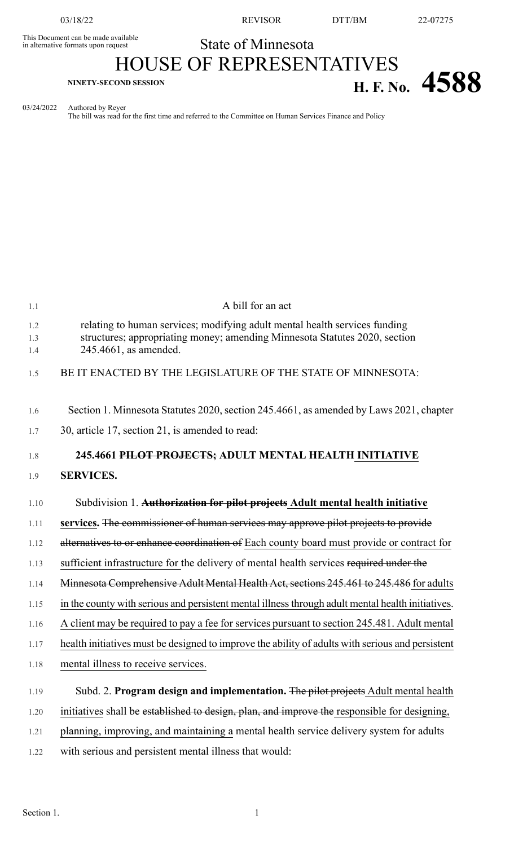This Document can be made available<br>in alternative formats upon request

03/18/22 REVISOR DTT/BM 22-07275

## State of Minnesota

## HOUSE OF REPRESENTATIVES **H. F. No. 4588**

03/24/2022 Authored by Reyer

The bill was read for the first time and referred to the Committee on Human Services Finance and Policy

| 1.1        | A bill for an act                                                                                                                                        |
|------------|----------------------------------------------------------------------------------------------------------------------------------------------------------|
| 1.2<br>1.3 | relating to human services; modifying adult mental health services funding<br>structures; appropriating money; amending Minnesota Statutes 2020, section |
| 1.4        | 245.4661, as amended.                                                                                                                                    |
| 1.5        | BE IT ENACTED BY THE LEGISLATURE OF THE STATE OF MINNESOTA:                                                                                              |
| 1.6        | Section 1. Minnesota Statutes 2020, section 245.4661, as amended by Laws 2021, chapter                                                                   |
| 1.7        | 30, article 17, section 21, is amended to read:                                                                                                          |
| 1.8        | 245.4661 PILOT PROJECTS; ADULT MENTAL HEALTH INITIATIVE                                                                                                  |
| 1.9        | <b>SERVICES.</b>                                                                                                                                         |
| 1.10       | Subdivision 1. Authorization for pilot projects Adult mental health initiative                                                                           |
| 1.11       | services. The commissioner of human services may approve pilot projects to provide                                                                       |
| 1.12       | alternatives to or enhance coordination of Each county board must provide or contract for                                                                |
| 1.13       | sufficient infrastructure for the delivery of mental health services required under the                                                                  |
| 1.14       | Minnesota Comprehensive Adult Mental Health Act, sections 245.461 to 245.486 for adults                                                                  |
| 1.15       | in the county with serious and persistent mental illness through adult mental health initiatives.                                                        |
| 1.16       | A client may be required to pay a fee for services pursuant to section 245.481. Adult mental                                                             |
| 1.17       | health initiatives must be designed to improve the ability of adults with serious and persistent                                                         |
| 1.18       | mental illness to receive services.                                                                                                                      |
| 1.19       | Subd. 2. Program design and implementation. The pilot projects Adult mental health                                                                       |
| 1.20       | initiatives shall be established to design, plan, and improve the responsible for designing,                                                             |
| 1.21       | planning, improving, and maintaining a mental health service delivery system for adults                                                                  |
| 1.22       | with serious and persistent mental illness that would:                                                                                                   |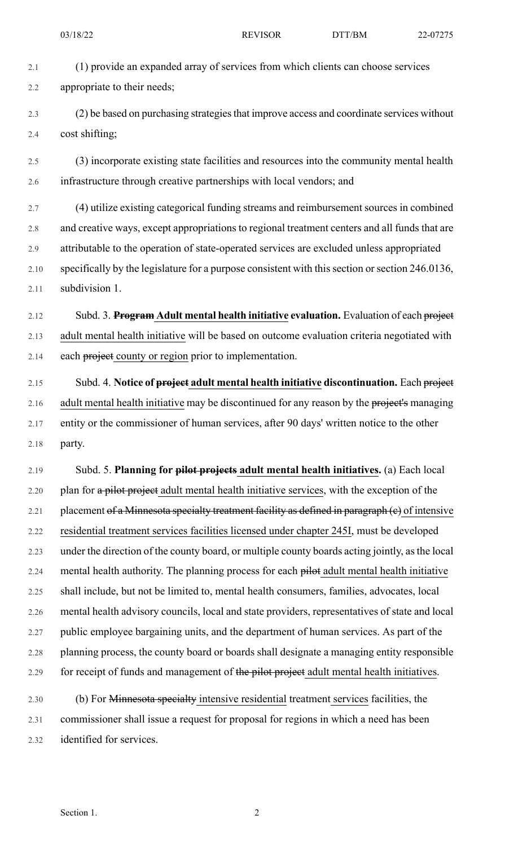2.1 (1) provide an expanded array of services from which clients can choose services

2.2 appropriate to their needs;

2.3 (2) be based on purchasing strategiesthat improve access and coordinate services without 2.4 cost shifting;

2.5 (3) incorporate existing state facilities and resources into the community mental health 2.6 infrastructure through creative partnerships with local vendors; and

2.7 (4) utilize existing categorical funding streams and reimbursement sources in combined 2.8 and creative ways, except appropriations to regional treatment centers and all funds that are 2.9 attributable to the operation of state-operated services are excluded unless appropriated 2.10 specifically by the legislature for a purpose consistent with this section or section 246.0136, 2.11 subdivision 1.

2.12 Subd. 3. **Program Adult mental health initiative evaluation.** Evaluation of each project 2.13 adult mental health initiative will be based on outcome evaluation criteria negotiated with 2.14 each project county or region prior to implementation.

2.15 Subd. 4. **Notice of project adult mental health initiative discontinuation.** Each project 2.16 adult mental health initiative may be discontinued for any reason by the project's managing 2.17 entity or the commissioner of human services, after 90 days' written notice to the other 2.18 party.

2.19 Subd. 5. **Planning for pilot projects adult mental health initiatives.** (a) Each local 2.20 plan for a pilot project adult mental health initiative services, with the exception of the 2.21 placement of a Minnesota specialty treatment facility as defined in paragraph  $(e)$  of intensive 2.22 residential treatment services facilities licensed under chapter 245I, must be developed 2.23 under the direction of the county board, or multiple county boards acting jointly, asthe local 2.24 mental health authority. The planning process for each pilot adult mental health initiative 2.25 shall include, but not be limited to, mental health consumers, families, advocates, local 2.26 mental health advisory councils, local and state providers, representatives of state and local 2.27 public employee bargaining units, and the department of human services. As part of the 2.28 planning process, the county board or boards shall designate a managing entity responsible 2.29 for receipt of funds and management of the pilot project adult mental health initiatives.

2.30 (b) For Minnesota specialty intensive residential treatment services facilities, the 2.31 commissioner shall issue a request for proposal for regions in which a need has been 2.32 identified for services.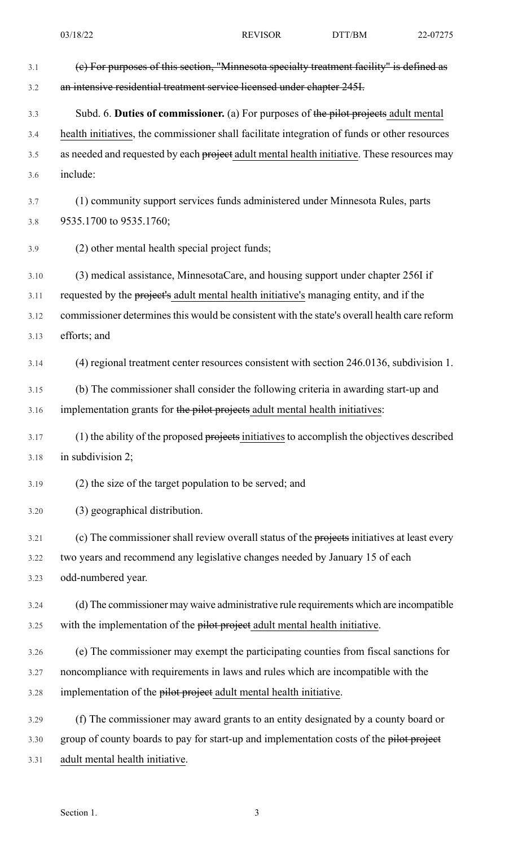3.1 (c) For purposes of this section, "Minnesota specialty treatment facility" is defined as 3.2 an intensive residential treatment service licensed under chapter 245I. 3.3 Subd. 6. **Duties of commissioner.** (a) For purposes of the pilot projects adult mental 3.4 health initiatives, the commissioner shall facilitate integration of funds or other resources 3.5 as needed and requested by each project adult mental health initiative. These resources may 3.6 include: 3.7 (1) community support services funds administered under Minnesota Rules, parts 3.8 9535.1700 to 9535.1760; 3.9 (2) other mental health special project funds; 3.10 (3) medical assistance, MinnesotaCare, and housing support under chapter 256I if 3.11 requested by the project's adult mental health initiative's managing entity, and if the 3.12 commissioner determines this would be consistent with the state's overall health care reform 3.13 efforts; and 3.14 (4) regional treatment center resources consistent with section 246.0136, subdivision 1. 3.15 (b) The commissioner shall consider the following criteria in awarding start-up and 3.16 implementation grants for the pilot projects adult mental health initiatives: 3.17 (1) the ability of the proposed projects initiatives to accomplish the objectives described 3.18 in subdivision 2; 3.19 (2) the size of the target population to be served; and 3.20 (3) geographical distribution. 3.21 (c) The commissioner shall review overall status of the projects initiatives at least every 3.22 two years and recommend any legislative changes needed by January 15 of each 3.23 odd-numbered year. 3.24 (d) The commissioner may waive administrative rule requirements which are incompatible 3.25 with the implementation of the pilot project adult mental health initiative. 3.26 (e) The commissioner may exempt the participating counties from fiscal sanctions for 3.27 noncompliance with requirements in laws and rules which are incompatible with the 3.28 implementation of the pilot project adult mental health initiative. 3.29 (f) The commissioner may award grants to an entity designated by a county board or 3.30 group of county boards to pay for start-up and implementation costs of the pilot project

3.31 adult mental health initiative.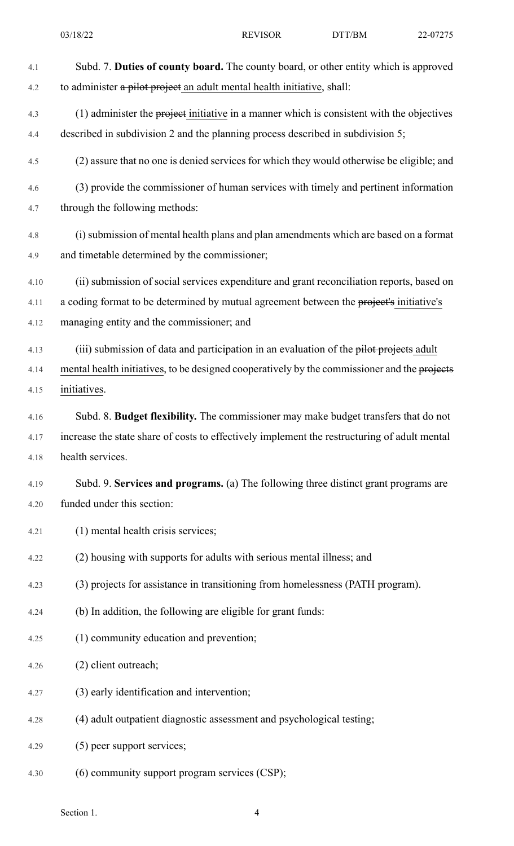| 4.1  | Subd. 7. Duties of county board. The county board, or other entity which is approved         |
|------|----------------------------------------------------------------------------------------------|
| 4.2  | to administer a pilot project an adult mental health initiative, shall:                      |
| 4.3  | (1) administer the project initiative in a manner which is consistent with the objectives    |
| 4.4  | described in subdivision 2 and the planning process described in subdivision 5;              |
| 4.5  | (2) assure that no one is denied services for which they would otherwise be eligible; and    |
| 4.6  | (3) provide the commissioner of human services with timely and pertinent information         |
| 4.7  | through the following methods:                                                               |
| 4.8  | (i) submission of mental health plans and plan amendments which are based on a format        |
| 4.9  | and timetable determined by the commissioner;                                                |
| 4.10 | (ii) submission of social services expenditure and grant reconciliation reports, based on    |
| 4.11 | a coding format to be determined by mutual agreement between the project's initiative's      |
| 4.12 | managing entity and the commissioner; and                                                    |
| 4.13 | (iii) submission of data and participation in an evaluation of the pilot projects adult      |
| 4.14 | mental health initiatives, to be designed cooperatively by the commissioner and the projects |
| 4.15 | initiatives.                                                                                 |
| 4.16 | Subd. 8. Budget flexibility. The commissioner may make budget transfers that do not          |
| 4.17 | increase the state share of costs to effectively implement the restructuring of adult mental |
| 4.18 | health services.                                                                             |
| 4.19 | Subd. 9. Services and programs. (a) The following three distinct grant programs are          |
| 4.20 | funded under this section:                                                                   |
| 4.21 | (1) mental health crisis services;                                                           |
| 4.22 | (2) housing with supports for adults with serious mental illness; and                        |
| 4.23 | (3) projects for assistance in transitioning from homelessness (PATH program).               |
| 4.24 | (b) In addition, the following are eligible for grant funds:                                 |
| 4.25 | (1) community education and prevention;                                                      |
| 4.26 | (2) client outreach;                                                                         |
| 4.27 | (3) early identification and intervention;                                                   |
| 4.28 | (4) adult outpatient diagnostic assessment and psychological testing;                        |
| 4.29 | (5) peer support services;                                                                   |
| 4.30 | (6) community support program services (CSP);                                                |

Section 1. 4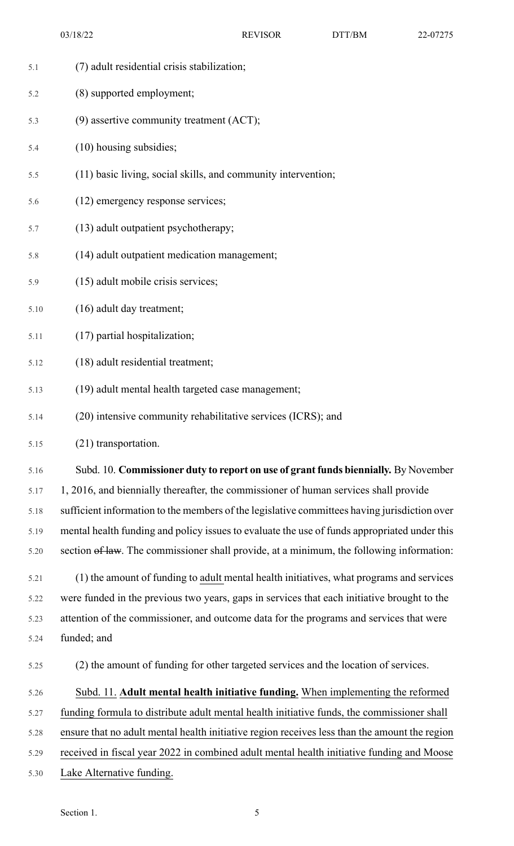- 5.1 (7) adult residential crisis stabilization;
- 5.2 (8) supported employment;
- 5.3 (9) assertive community treatment (ACT);
- 5.4 (10) housing subsidies;
- 5.5 (11) basic living, social skills, and community intervention;
- 5.6 (12) emergency response services;
- 5.7 (13) adult outpatient psychotherapy;
- 5.8 (14) adult outpatient medication management;
- 5.9 (15) adult mobile crisis services;
- 5.10 (16) adult day treatment;
- 5.11 (17) partial hospitalization;
- 5.12 (18) adult residential treatment;
- 5.13 (19) adult mental health targeted case management;
- 5.14 (20) intensive community rehabilitative services (ICRS); and
- 5.15 (21) transportation.

5.16 Subd. 10. **Commissioner duty to report on use of grant funds biennially.** By November 5.17 1, 2016, and biennially thereafter, the commissioner of human services shall provide 5.18 sufficient information to the members of the legislative committees having jurisdiction over 5.19 mental health funding and policy issues to evaluate the use of funds appropriated under this 5.20 section of law. The commissioner shall provide, at a minimum, the following information:

5.21 (1) the amount of funding to adult mental health initiatives, what programs and services 5.22 were funded in the previous two years, gaps in services that each initiative brought to the 5.23 attention of the commissioner, and outcome data for the programs and services that were 5.24 funded; and

- 5.25 (2) the amount of funding for other targeted services and the location of services.
- 5.26 Subd. 11. **Adult mental health initiative funding.** When implementing the reformed
- 5.27 funding formula to distribute adult mental health initiative funds, the commissioner shall
- 5.28 ensure that no adult mental health initiative region receives less than the amount the region
- 5.29 received in fiscal year 2022 in combined adult mental health initiative funding and Moose
- 5.30 Lake Alternative funding.